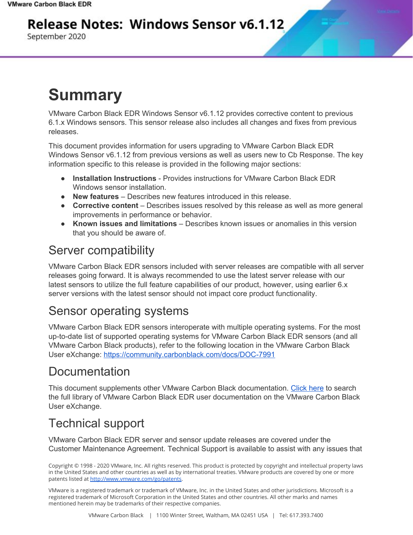#### **Release Notes: Windows Sensor v6.1.12**

September 2020

# **Summary**

VMware Carbon Black EDR Windows Sensor v6.1.12 provides corrective content to previous 6.1.x Windows sensors. This sensor release also includes all changes and fixes from previous releases.

This document provides information for users upgrading to VMware Carbon Black EDR Windows Sensor v6.1.12 from previous versions as well as users new to Cb Response. The key information specific to this release is provided in the following major sections:

- **Installation Instructions** Provides instructions for VMware Carbon Black EDR Windows sensor installation.
- **New features** Describes new features introduced in this release.
- **Corrective content** Describes issues resolved by this release as well as more general improvements in performance or behavior.
- **Known issues and limitations** Describes known issues or anomalies in this version that you should be aware of.

#### Server compatibility

VMware Carbon Black EDR sensors included with server releases are compatible with all server releases going forward. It is always recommended to use the latest server release with our latest sensors to utilize the full feature capabilities of our product, however, using earlier 6.x server versions with the latest sensor should not impact core product functionality.

#### Sensor operating systems

VMware Carbon Black EDR sensors interoperate with multiple operating systems. For the most up-to-date list of supported operating systems for VMware Carbon Black EDR sensors (and all VMware Carbon Black products), refer to the following location in the VMware Carbon Black User eXchange: <https://community.carbonblack.com/docs/DOC-7991>

#### Documentation

This document supplements other VMware Carbon Black documentation. [Click](https://community.carbonblack.com/t5/Cb-Response/ct-p/cbresponse) here to search the full library of VMware Carbon Black EDR user documentation on the VMware Carbon Black User eXchange.

### Technical support

VMware Carbon Black EDR server and sensor update releases are covered under the Customer Maintenance Agreement. Technical Support is available to assist with any issues that

Copyright © 1998 - 2020 VMware, Inc. All rights reserved. This product is protected by copyright and intellectual property laws in the United States and other countries as well as by international treaties. VMware products are covered by one or more patents listed at <http://www.vmware.com/go/patents>.

VMware is a registered trademark or trademark of VMware, Inc. in the United States and other jurisdictions. Microsoft is a registered trademark of Microsoft Corporation in the United States and other countries. All other marks and names mentioned herein may be trademarks of their respective companies.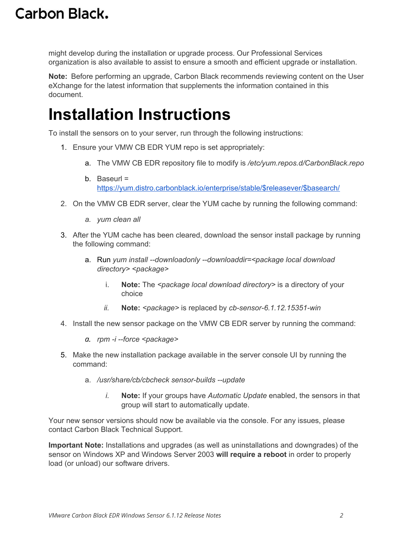might develop during the installation or upgrade process. Our Professional Services organization is also available to assist to ensure a smooth and efficient upgrade or installation.

**Note:** Before performing an upgrade, Carbon Black recommends reviewing content on the User eXchange for the latest information that supplements the information contained in this document.

### **Installation Instructions**

To install the sensors on to your server, run through the following instructions:

- 1. Ensure your VMW CB EDR YUM repo is set appropriately:
	- a. The VMW CB EDR repository file to modify is */etc/yum.repos.d/CarbonBlack.repo*
	- b. Baseurl = [https://yum.distro.carbonblack.io/enterprise/stable/\\$releasever/\\$basearch/](https://yum.distro.carbonblack.io/enterprise/stable/$releasever/$basearch/)
- 2. On the VMW CB EDR server, clear the YUM cache by running the following command:
	- *a. yum clean all*
- 3. After the YUM cache has been cleared, download the sensor install package by running the following command:
	- a. Run *yum install --downloadonly --downloaddir=<package local download directory> <package>*
		- i. **Note:** The *<package local download directory>* is a directory of your choice
		- *ii.* **Note:** *<package>* is replaced by *cb-sensor-6.1.12.15351-win*
- 4. Install the new sensor package on the VMW CB EDR server by running the command:
	- *a. rpm -i --force <package>*
- 5. Make the new installation package available in the server console UI by running the command:
	- a. */usr/share/cb/cbcheck sensor-builds --update*
		- *i.* **Note:** If your groups have *Automatic Update* enabled, the sensors in that group will start to automatically update.

Your new sensor versions should now be available via the console. For any issues, please contact Carbon Black Technical Support.

**Important Note:** Installations and upgrades (as well as uninstallations and downgrades) of the sensor on Windows XP and Windows Server 2003 **will require a reboot** in order to properly load (or unload) our software drivers.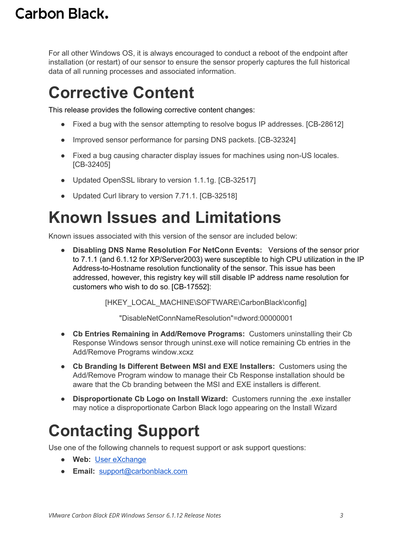For all other Windows OS, it is always encouraged to conduct a reboot of the endpoint after installation (or restart) of our sensor to ensure the sensor properly captures the full historical data of all running processes and associated information.

### **Corrective Content**

This release provides the following corrective content changes:

- Fixed a bug with the sensor attempting to resolve bogus IP addresses. [CB-28612]
- Improved sensor performance for parsing DNS packets. [CB-32324]
- Fixed a bug causing character display issues for machines using non-US locales. [CB-32405]
- Updated OpenSSL library to version 1.1.1g. [CB-32517]
- Updated Curl library to version 7.71.1. [CB-32518]

# **Known Issues and Limitations**

Known issues associated with this version of the sensor are included below:

● **Disabling DNS Name Resolution For NetConn Events:** Versions of the sensor prior to 7.1.1 (and 6.1.12 for XP/Server2003) were susceptible to high CPU utilization in the IP Address-to-Hostname resolution functionality of the sensor. This issue has been addressed, however, this registry key will still disable IP address name resolution for customers who wish to do so. [CB-17552]:

[HKEY\_LOCAL\_MACHINE\SOFTWARE\CarbonBlack\config]

"DisableNetConnNameResolution"=dword:00000001

- **Cb Entries Remaining in Add/Remove Programs:** Customers uninstalling their Cb Response Windows sensor through uninst.exe will notice remaining Cb entries in the Add/Remove Programs window.xcxz
- **Cb Branding Is Different Between MSI and EXE Installers:** Customers using the Add/Remove Program window to manage their Cb Response installation should be aware that the Cb branding between the MSI and EXE installers is different.
- **Disproportionate Cb Logo on Install Wizard:** Customers running the .exe installer may notice a disproportionate Carbon Black logo appearing on the Install Wizard

# **Contacting Support**

Use one of the following channels to request support or ask support questions:

- **Web:** User [eXchange](https://community.carbonblack.com/)
- **Email:** [support@carbonblack.com](mailto:support@carbonblack.com)